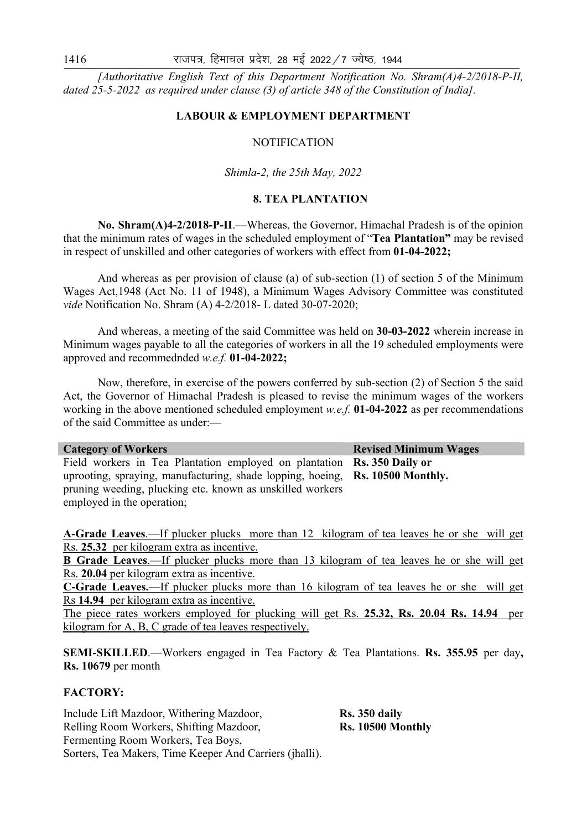*[Authoritative English Text of this Department Notification No. Shram(A)4-2/2018-P-II, dated 25-5-2022 as required under clause (3) of article 348 of the Constitution of India].* 

#### **LABOUR & EMPLOYMENT DEPARTMENT**

### **NOTIFICATION**

#### *Shimla-2, the 25th May, 2022*

#### **8. TEA PLANTATION**

 **No. Shram(A)4-2/2018-P-II**.—Whereas, the Governor, Himachal Pradesh is of the opinion that the minimum rates of wages in the scheduled employment of "**Tea Plantation"** may be revised in respect of unskilled and other categories of workers with effect from **01-04-2022;** 

And whereas as per provision of clause (a) of sub-section (1) of section 5 of the Minimum Wages Act,1948 (Act No. 11 of 1948), a Minimum Wages Advisory Committee was constituted *vide* Notification No. Shram (A) 4-2/2018- L dated 30-07-2020;

 And whereas, a meeting of the said Committee was held on **30-03-2022** wherein increase in Minimum wages payable to all the categories of workers in all the 19 scheduled employments were approved and recommednded *w.e.f.* **01-04-2022;**

 Now, therefore, in exercise of the powers conferred by sub-section (2) of Section 5 the said Act, the Governor of Himachal Pradesh is pleased to revise the minimum wages of the workers working in the above mentioned scheduled employment *w.e.f.* **01-04-2022** as per recommendations of the said Committee as under:—

**Category of Workers <b>Revised Minimum Wages Revised Minimum Wages** Field workers in Tea Plantation employed on plantation **Rs. 350 Daily or**  uprooting, spraying, manufacturing, shade lopping, hoeing, pruning weeding, plucking etc. known as unskilled workers employed in the operation; **Rs. 10500 Monthly.**

**A-Grade Leaves**.—If plucker plucks more than 12 kilogram of tea leaves he or she will get Rs. **25.32** per kilogram extra as incentive.

**B Grade Leaves**.—If plucker plucks more than 13 kilogram of tea leaves he or she will get Rs. **20.04** per kilogram extra as incentive.

**C-Grade Leaves.—**If plucker plucks more than 16 kilogram of tea leaves he or she will get Rs **14.94** per kilogram extra as incentive.

The piece rates workers employed for plucking will get Rs. **25.32, Rs. 20.04 Rs. 14.94** per kilogram for A, B, C grade of tea leaves respectively.

**SEMI-SKILLED**.—Workers engaged in Tea Factory & Tea Plantations. **Rs. 355.95** per day**, Rs. 10679** per month

## **FACTORY:**

Include Lift Mazdoor, Withering Mazdoor, **Rs. 350 daily** Relling Room Workers, Shifting Mazdoor, **Rs. 10500 Monthly** Fermenting Room Workers, Tea Boys, Sorters, Tea Makers, Time Keeper And Carriers (jhalli).